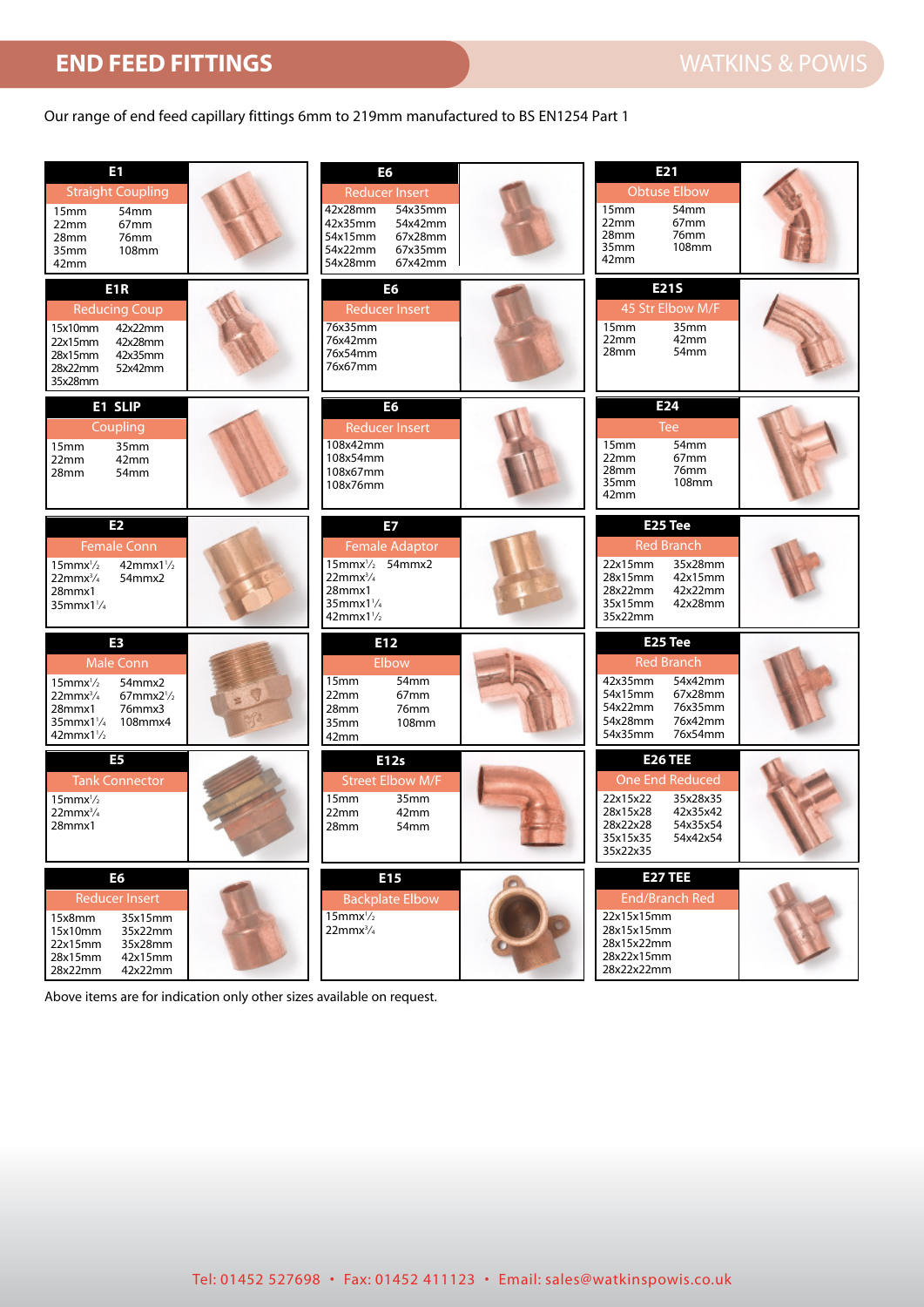## **END FEED FITTINGS WATKINS & POWIS**

## Our range of end feed capillary fittings 6mm to 219mm manufactured to BS EN1254 Part 1

| E1<br><b>Straight Coupling</b><br>15mm<br>54mm<br>22mm<br>67mm<br>76mm<br>28mm<br>35mm<br>108mm<br>42mm                                                                  | E <sub>6</sub><br><b>Reducer Insert</b><br>42x28mm<br>54x35mm<br>42x35mm<br>54x42mm<br>54x15mm<br>67x28mm<br>54x22mm<br>67x35mm<br>67x42mm<br>54x28mm | E21<br><b>Obtuse Elbow</b><br>54mm<br>15 <sub>mm</sub><br>67mm<br>22mm<br>28mm<br>76mm<br>108mm<br>35mm<br>42mm                               |
|--------------------------------------------------------------------------------------------------------------------------------------------------------------------------|-------------------------------------------------------------------------------------------------------------------------------------------------------|-----------------------------------------------------------------------------------------------------------------------------------------------|
| E <sub>1</sub> R<br><b>Reducing Coup</b><br>42x22mm<br>15x10mm<br>42x28mm<br>22x15mm<br>28x15mm<br>42x35mm<br>28x22mm<br>52x42mm<br>35x28mm                              | E <sub>6</sub><br><b>Reducer Insert</b><br>76x35mm<br>76x42mm<br>76x54mm<br>76x67mm                                                                   | <b>E21S</b><br>45 Str Elbow M/F<br>35mm<br>15mm<br>42mm<br>22mm<br>28mm<br>54 <sub>mm</sub>                                                   |
| E1 SLIP<br>Coupling<br>15mm<br>35mm<br>22mm<br>42mm<br>28mm<br>54 <sub>mm</sub>                                                                                          | E6<br><b>Reducer Insert</b><br>108x42mm<br>108x54mm<br>108x67mm<br>108x76mm                                                                           | E <sub>24</sub><br><b>Tee</b><br>54mm<br>15 <sub>mm</sub><br>67mm<br>22mm<br>76mm<br>28mm<br>35mm<br>108mm<br>42mm                            |
| E <sub>2</sub><br><b>Female Conn</b><br>$15$ mmx $\frac{1}{2}$<br>$42mmx1\frac{1}{2}$<br>54mmx2<br>$22$ mm $x^3/4$<br>28mmx1<br>$35$ mmx $1\frac{1}{4}$                  | E7<br><b>Female Adaptor</b><br>$15$ mmx $\frac{1}{2}$ 54mmx2<br>$22mmx^3/4$<br>28mmx1<br>$35$ mmx $1\frac{1}{4}$<br>$42mmx1\frac{1}{2}$               | E25 Tee<br><b>Red Branch</b><br>35x28mm<br>22x15mm<br>28x15mm<br>42x15mm<br>42x22mm<br>28x22mm<br>42x28mm<br>35x15mm<br>35x22mm               |
| E3<br><b>Male Conn</b><br>54mmx2<br>$15$ mmx $\frac{1}{2}$<br>$67$ mmx $2\frac{1}{2}$<br>$22mmx^3/4$<br>28mmx1<br>76mmx3<br>35mmx11/4 108mmx4<br>$42$ mmx $1\frac{1}{2}$ | E12<br>Elbow<br>54mm<br>15 <sub>mm</sub><br>67mm<br>22mm<br>76mm<br>28mm<br>108mm<br>35mm<br>42mm                                                     | E25 Tee<br><b>Red Branch</b><br>54x42mm<br>42x35mm<br>67x28mm<br>54x15mm<br>54x22mm<br>76x35mm<br>76x42mm<br>54x28mm<br>76x54mm<br>54x35mm    |
| E <sub>5</sub><br><b>Tank Connector</b><br>$15$ mmx $\frac{1}{2}$<br>$22$ mmx $^{3}/_{4}$<br>28mmx1                                                                      | E12s<br><b>Street Elbow M/F</b><br>35mm<br>15 <sub>mm</sub><br>42mm<br>22mm<br>28mm<br>54mm                                                           | <b>E26 TEE</b><br>One End Reduced<br>22x15x22<br>35x28x35<br>28x15x28<br>42x35x42<br>28x22x28<br>54x35x54<br>35x15x35<br>54x42x54<br>35x22x35 |
| E <sub>6</sub><br><b>Reducer Insert</b><br>35x15mm<br>15x8mm<br>15x10mm<br>35x22mm<br>22x15mm<br>35x28mm<br>28x15mm<br>42x15mm<br>28x22mm<br>42x22mm                     | E15<br><b>Backplate Elbow</b><br>$15$ mmx $\frac{1}{2}$<br>$22mmx^3/4$                                                                                | <b>E27 TEE</b><br><b>End/Branch Red</b><br>22x15x15mm<br>28x15x15mm<br>28x15x22mm<br>28x22x15mm<br>28x22x22mm                                 |

Above items are for indication only other sizes available on request.